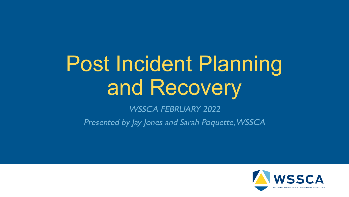# Post Incident Planning and Recovery

WSSCA FEBRUARY 2022

Presented by Jay Jones and Sarah Poquette, WSSCA

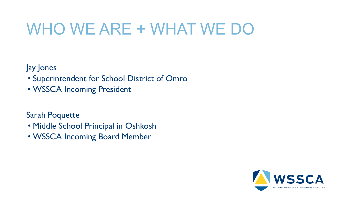### WHO WE ARE + WHAT WE DO

Jay Jones

- Superintendent for School District of Omro
- WSSCA Incoming President

Sarah Poquette

- Middle School Principal in Oshkosh
- WSSCA Incoming Board Member

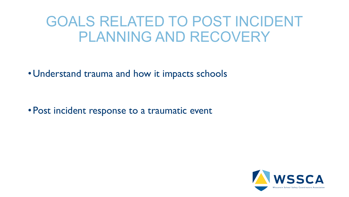### GOALS RELATED TO POST INCIDENT PLANNING AND RECOVERY

• Understand trauma and how it impacts schools

• Post incident response to a traumatic event

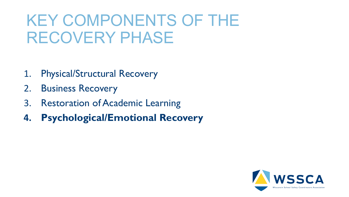### KEY COMPONENTS OF THE RECOVERY PHASE

- 1. Physical/Structural Recovery
- 2. Business Recovery
- 3. Restoration of Academic Learning
- **4. Psychological/Emotional Recovery**

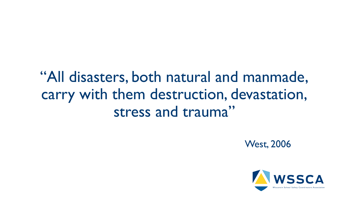### "All disasters, both natural and manmade, carry with them destruction, devastation, stress and trauma"

West, 2006

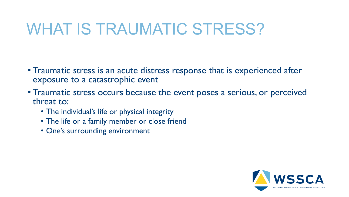### WHAT IS TRAUMATIC STRESS?

- Traumatic stress is an acute distress response that is experienced after exposure to a catastrophic event
- Traumatic stress occurs because the event poses a serious, or perceived threat to:
	- The individual's life or physical integrity
	- The life or a family member or close friend
	- One's surrounding environment

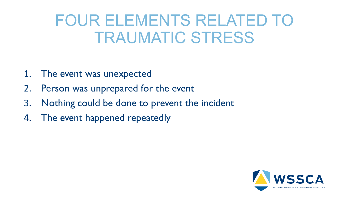### FOUR ELEMENTS RELATED TO TRAUMATIC STRESS

- 1. The event was unexpected
- 2. Person was unprepared for the event
- 3. Nothing could be done to prevent the incident
- 4. The event happened repeatedly

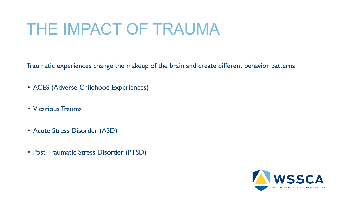### THE IMPACT OF TRAUMA

Traumatic experiences change the makeup of the brain and create different behavior patterns

- ACES (Adverse Childhood Experiences)
- Vicarious Trauma
- Acute Stress Disorder (ASD)
- Post-Traumatic Stress Disorder (PTSD)

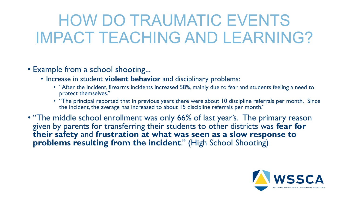### HOW DO TRAUMATIC EVENTS IMPACT TEACHING AND LEARNING?

#### • Example from a school shooting...

- Increase in student **violent behavior** and disciplinary problems:
	- "After the incident, firearms incidents increased 58%, mainly due to fear and students feeling a need to protect themselves."
	- "The principal reported that in previous years there were about 10 discipline referrals per month. Since the incident, the average has increased to about 15 discipline referrals per month."
- "The middle school enrollment was only 66% of last year's. The primary reason given by parents for transferring their students to other districts was **fear for their safety** and **frustration at what was seen as a slow response to problems resulting from the incident**." (High School Shooting)

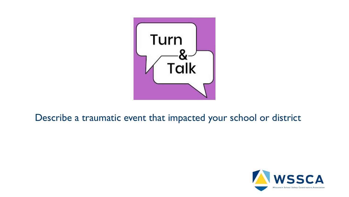

#### Describe a traumatic event that impacted your school or district

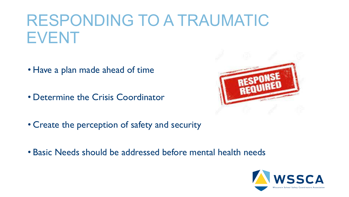### RESPONDING TO A TRAUMATIC EVENT

- Have a plan made ahead of time
- Determine the Crisis Coordinator



- Create the perception of safety and security
- Basic Needs should be addressed before mental health needs

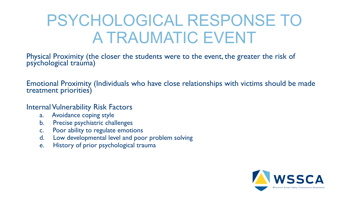### PSYCHOLOGICAL RESPONSE TO A TRAUMATIC EVENT

Physical Proximity (the closer the students were to the event, the greater the risk of psychological trauma)

Emotional Proximity (Individuals who have close relationships with victims should be made treatment priorities)

Internal Vulnerability Risk Factors

- a. Avoidance coping style
- b. Precise psychiatric challenges
- c. Poor ability to regulate emotions
- d. Low developmental level and poor problem solving
- e. History of prior psychological trauma

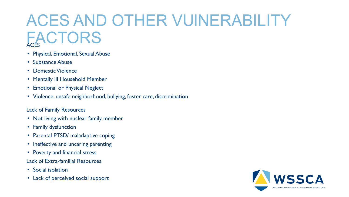## ACES AND OTHER VUlNERABILITY **FACTORS**

- Physical, Emotional, Sexual Abuse
- Substance Abuse
- Domestic Violence
- Mentally ill Household Member
- Emotional or Physical Neglect
- Violence, unsafe neighborhood, bullying, foster care, discrimination

#### Lack of Family Resources

- Not living with nuclear family member
- Family dysfunction
- Parental PTSD/ maladaptive coping
- Ineffective and uncaring parenting
- Poverty and financial stress
- Lack of Extra-familial Resources
- Social isolation
- Lack of perceived social support

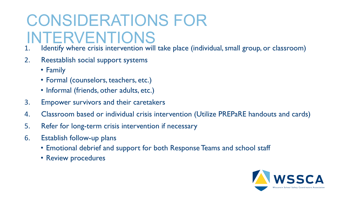## CONSIDERATIONS FOR INTERVENTIONS

- Identify where crisis intervention will take place (individual, small group, or classroom)
- 2. Reestablish social support systems
	- Family
	- Formal (counselors, teachers, etc.)
	- Informal (friends, other adults, etc.)
- 3. Empower survivors and their caretakers
- 4. Classroom based or individual crisis intervention (Utilize PREPaRE handouts and cards)
- 5. Refer for long-term crisis intervention if necessary
- 6. Establish follow-up plans
	- Emotional debrief and support for both Response Teams and school staff
	- Review procedures

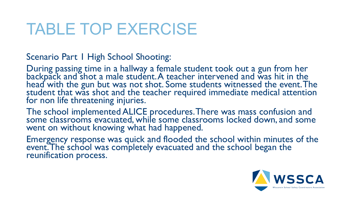### TABLE TOP EXERCISE

Scenario Part 1 High School Shooting:

During passing time in a hallway a female student took out a gun from her backpack and shot a male student. A teacher intervened and was hit in the head with the gun but was not shot. Some students witnessed the event. The student that was shot and the teacher required immediate medical attention for non life threatening injuries.

The school implemented ALICE procedures. There was mass confusion and some classrooms evacuated, while some classrooms locked down, and some went on without knowing what had happened.

Emergency response was quick and flooded the school within minutes of the event. The school was completely evacuated and the school began the reunification process.

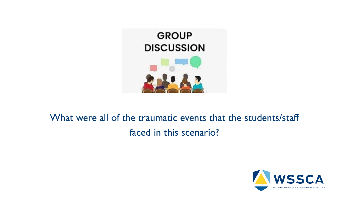

### What were all of the traumatic events that the students/staff faced in this scenario?

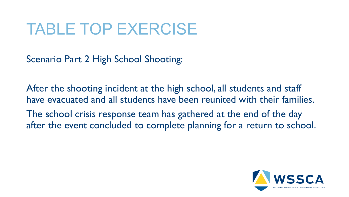### TABLE TOP EXERCISE

Scenario Part 2 High School Shooting:

After the shooting incident at the high school, all students and staff have evacuated and all students have been reunited with their families. The school crisis response team has gathered at the end of the day after the event concluded to complete planning for a return to school.

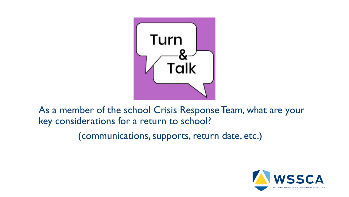

As a member of the school Crisis Response Team, what are your key considerations for a return to school?

(communications, supports, return date, etc.)

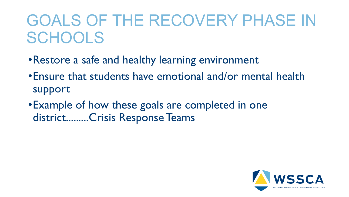### GOALS OF THE RECOVERY PHASE IN **SCHOOLS**

- •Restore a safe and healthy learning environment
- •Ensure that students have emotional and/or mental health support
- •Example of how these goals are completed in one district.........Crisis Response Teams

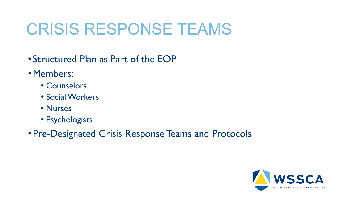### CRISIS RESPONSE TEAMS

- Structured Plan as Part of the EOP
- •Members:
	- Counselors
	- Social Workers
	- Nurses
	- Psychologists
- Pre-Designated Crisis Response Teams and Protocols

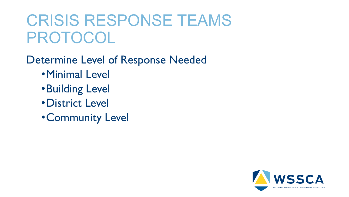### CRISIS RESPONSE TEAMS PROTOCOL

Determine Level of Response Needed •Minimal Level

- •Building Level
- •District Level
- •Community Level

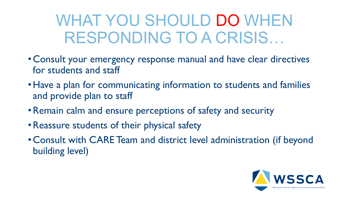### WHAT YOU SHOULD DO WHEN RESPONDING TO A CRISIS…

- Consult your emergency response manual and have clear directives for students and staff
- •Have a plan for communicating information to students and families and provide plan to staff
- •Remain calm and ensure perceptions of safety and security
- •Reassure students of their physical safety
- Consult with CARE Team and district level administration (if beyond building level)

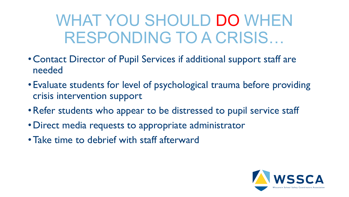### WHAT YOU SHOULD DO WHEN RESPONDING TO A CRISIS…

- Contact Director of Pupil Services if additional support staff are needed
- Evaluate students for level of psychological trauma before providing crisis intervention support
- •Refer students who appear to be distressed to pupil service staff
- •Direct media requests to appropriate administrator
- •Take time to debrief with staff afterward

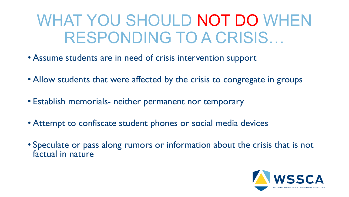### WHAT YOU SHOULD NOT DO WHEN RESPONDING TO A CRISIS…

- Assume students are in need of crisis intervention support
- Allow students that were affected by the crisis to congregate in groups
- Establish memorials- neither permanent nor temporary
- Attempt to confiscate student phones or social media devices
- Speculate or pass along rumors or information about the crisis that is not factual in nature

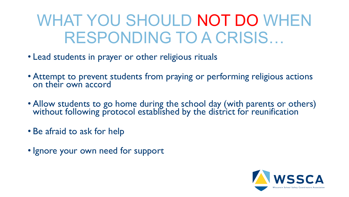### WHAT YOU SHOULD NOT DO WHEN RESPONDING TO A CRISIS…

- Lead students in prayer or other religious rituals
- Attempt to prevent students from praying or performing religious actions on their own accord
- Allow students to go home during the school day (with parents or others) without following protocol established by the district for reunification
- Be afraid to ask for help
- Ignore your own need for support

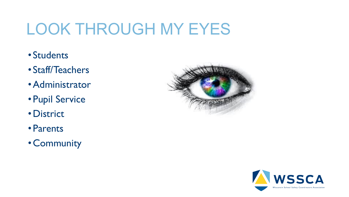## LOOK THROUGH MY EYES

- Students
- Staff/Teachers
- •Administrator
- Pupil Service
- •District
- Parents
- Community



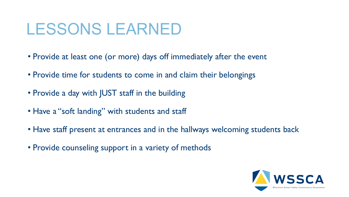### LESSONS LEARNED

- Provide at least one (or more) days off immediately after the event
- Provide time for students to come in and claim their belongings
- Provide a day with JUST staff in the building
- Have a "soft landing" with students and staff
- Have staff present at entrances and in the hallways welcoming students back
- Provide counseling support in a variety of methods

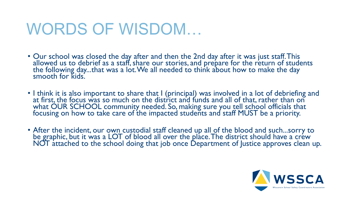### WORDS OF WISDOM…

- Our school was closed the day after and then the 2nd day after it was just staff. This allowed us to debrief as a staff, share our stories, and prepare for the return of students the following day...that was a lot. We all needed to think about how to make the day smooth for kids.
- I think it is also important to share that I (principal) was involved in a lot of debriefing and at first, the focus was so much on the district and funds and all of that, rather than on what OUR SCHOOL community needed. So, making sure you tell school officials that focusing on how to take care of the impacted students and staff MUST be a priority.
- After the incident, our own custodial staff cleaned up all of the blood and such...sorry to be graphic, but it was a LOT of blood all over the place. The district should have a crew NOT attached to the school doing that job once Department of Justice approves clean up.

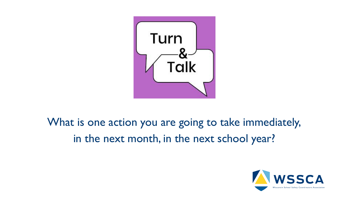

### What is one action you are going to take immediately, in the next month, in the next school year?